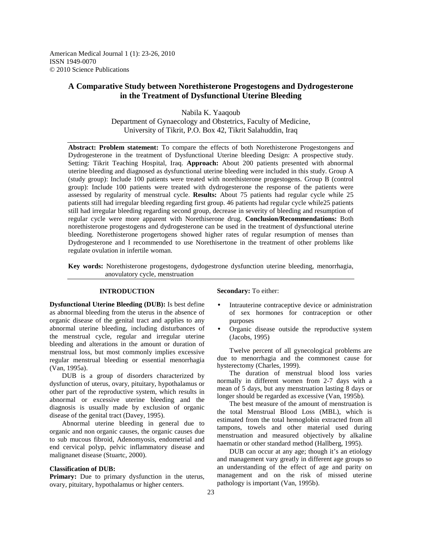American Medical Journal 1 (1): 23-26, 2010 ISSN 1949-0070 © 2010 Science Publications

# **A Comparative Study between Norethisterone Progestogens and Dydrogesterone in the Treatment of Dysfunctional Uterine Bleeding**

Nabila K. Yaaqoub Department of Gynaecology and Obstetrics, Faculty of Medicine, University of Tikrit, P.O. Box 42, Tikrit Salahuddin, Iraq

**Abstract: Problem statement:** To compare the effects of both Norethisterone Progestongens and Dydrogesterone in the treatment of Dysfunctional Uterine bleeding Design: A prospective study. Setting: Tikrit Teaching Hospital, Iraq. **Approach:** About 200 patients presented with abnormal uterine bleeding and diagnosed as dysfunctional uterine bleeding were included in this study. Group A (study group): Include 100 patients were treated with norethisterone progestogens. Group B (control group): Include 100 patients were treated with dydrogesterone the response of the patients were assessed by regularity of menstrual cycle. **Results:** About 75 patients had regular cycle while 25 patients still had irregular bleeding regarding first group. 46 patients had regular cycle while25 patients still had irregular bleeding regarding second group, decrease in severity of bleeding and resumption of regular cycle were more apparent with Norethiserone drug. **Conclusion/Recommendations:** Both norethisterone progestogens and dydrogesterone can be used in the treatment of dysfunctional uterine bleeding. Norethisterone progertogens showed higher rates of regular resumption of menses than Dydrogesterone and I recommended to use Norethisertone in the treatment of other problems like regulate ovulation in infertile woman.

**Key words:** Norethisterone progestogens, dydogestrone dysfunction uterine bleeding, menorrhagia, anovulatory cycle, menstruation

# **INTRODUCTION**

**Dysfunctional Uterine Bleeding (DUB):** Is best define as abnormal bleeding from the uterus in the absence of organic disease of the genital tract and applies to any abnormal uterine bleeding, including disturbances of the menstrual cycle, regular and irregular uterine bleeding and alterations in the amount or duration of menstrual loss, but most commonly implies excessive regular menstrual bleeding or essential menorrhagia (Van, 1995a).

 DUB is a group of disorders characterized by dysfunction of uterus, ovary, pituitary, hypothalamus or other part of the reproductive system, which results in abnormal or excessive uterine bleeding and the diagnosis is usually made by exclusion of organic disease of the genital tract (Davey, 1995).

 Abnormal uterine bleeding in general due to organic and non organic causes, the organic causes due to sub mucous fibroid, Adenomyosis, endometrial and end cervical polyp, pelvic inflammatory disease and malignanet disease (Stuartc, 2000).

### **Classification of DUB:**

**Primary:** Due to primary dysfunction in the uterus, ovary, pituitary, hypothalamus or higher centers.

**Secondary:** To either:

- Intrauterine contraceptive device or administration of sex hormones for contraception or other purposes
- Organic disease outside the reproductive system (Jacobs, 1995)

 Twelve percent of all gynecological problems are due to menorrhagia and the commonest cause for hysterectomy (Charles, 1999).

 The duration of menstrual blood loss varies normally in different women from 2-7 days with a mean of 5 days, but any menstruation lasting 8 days or longer should be regarded as excessive (Van, 1995b).

 The best measure of the amount of menstruation is the total Menstrual Blood Loss (MBL), which is estimated from the total hemoglobin extracted from all tampons, towels and other material used during menstruation and measured objectively by alkaline haematin or other standard method (Hallberg, 1995).

 DUB can occur at any age; though it's an etiology and management vary greatly in different age groups so an understanding of the effect of age and parity on management and on the risk of missed uterine pathology is important (Van, 1995b).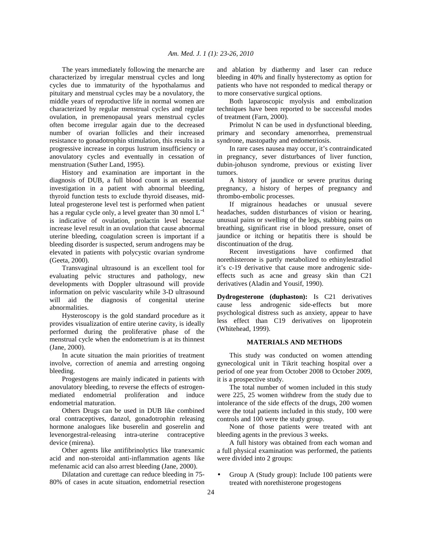The years immediately following the menarche are characterized by irregular menstrual cycles and long cycles due to immaturity of the hypothalamus and pituitary and menstrual cycles may be a novulatory, the middle years of reproductive life in normal women are characterized by regular menstrual cycles and regular ovulation, in premenopausal years menstrual cycles often become irregular again due to the decreased number of ovarian follicles and their increased resistance to gonadotrophin stimulation, this results in a progressive increase in corpus lustrum insufficiency or anovulatory cycles and eventually in cessation of menstruation (Suther Land, 1995).

 History and examination are important in the diagnosis of DUB, a full blood count is an essential investigation in a patient with abnormal bleeding, thyroid function tests to exclude thyroid diseases, midluteal progesterone level test is performed when patient has a regular cycle only, a level greater than 30 nmol  $L^{-1}$ is indicative of ovulation, prolactin level because increase level result in an ovulation that cause abnormal uterine bleeding, coagulation screen is important if a bleeding disorder is suspected, serum androgens may be elevated in patients with polycystic ovarian syndrome (Geeta, 2000).

 Transvaginal ultrasound is an excellent tool for evaluating pelvic structures and pathology, new developments with Doppler ultrasound will provide information on pelvic vascularity while 3-D ultrasound will aid the diagnosis of congenital uterine abnormalities.

 Hysteroscopy is the gold standard procedure as it provides visualization of entire uterine cavity, is ideally performed during the proliferative phase of the menstrual cycle when the endometrium is at its thinnest (Jane, 2000).

 In acute situation the main priorities of treatment involve, correction of anemia and arresting ongoing bleeding.

 Progestogens are mainly indicated in patients with anovulatory bleeding, to reverse the effects of estrogenmediated endometrial proliferation and induce endometrial maturation.

 Others Drugs can be used in DUB like combined oral contraceptives, danzol, gonadotrophin releasing hormone analogues like buserelin and goserelin and levenorgestral-releasing intra-uterine contraceptive device (mirena).

 Other agents like antifibrinolytics like tranexamic acid and non-steroidal anti-inflammation agents like mefenamic acid can also arrest bleeding (Jane, 2000).

 Dilatation and curettage can reduce bleeding in 75- 80% of cases in acute situation, endometrial resection and ablation by diathermy and laser can reduce bleeding in 40% and finally hysterectomy as option for patients who have not responded to medical therapy or to more conservative surgical options.

 Both laparoscopic myolysis and embolization techniques have been reported to be successful modes of treatment (Farn, 2000).

 Primolut N can be used in dysfunctional bleeding, primary and secondary amenorrhea, premenstrual syndrone, mastopathy and endometriosis.

 In rare cases nausea may occur, it's contraindicated in pregnancy, sever disturbances of liver function, dubin-johuson syndrome, previous or existing liver tumors.

 A history of jaundice or severe pruritus during pregnancy, a history of herpes of pregnancy and thrombo-embolic processes.

 If migrainous headaches or unusual severe headaches, sudden disturbances of vision or hearing, unusual pains or swelling of the legs, stabbing pains on breathing, significant rise in blood pressure, onset of jaundice or itching or hepatitis there is should be discontinuation of the drug.

 Recent investigations have confirmed that norethisterone is partly metabolized to ethinylestradiol it's c-19 derivative that cause more androgenic sideeffects such as acne and greasy skin than C21 derivatives (Aladin and Yousif, 1990).

**Dydrogesterone (duphaston):** Is C21 derivatives cause less androgenic side-effects but more psychological distress such as anxiety, appear to have less effect than C19 derivatives on lipoprotein (Whitehead, 1999).

#### **MATERIALS AND METHODS**

 This study was conducted on women attending gynecological unit in Tikrit teaching hospital over a period of one year from October 2008 to October 2009, it is a prospective study.

 The total number of women included in this study were 225, 25 women withdrew from the study due to intolerance of the side effects of the drugs, 200 women were the total patients included in this study, 100 were controls and 100 were the study group.

 None of those patients were treated with ant bleeding agents in the previous 3 weeks.

 A full history was obtained from each woman and a full physical examination was performed, the patients were divided into 2 groups:

• Group A (Study group): Include 100 patients were treated with norethisterone progestogens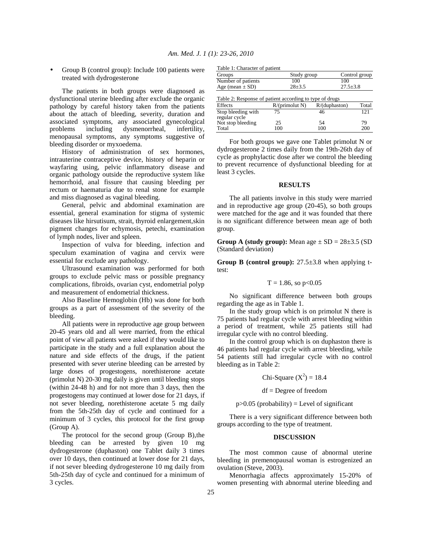• Group B (control group): Include 100 patients were treated with dydrogesterone

 The patients in both groups were diagnosed as dysfunctional uterine bleeding after exclude the organic pathology by careful history taken from the patients about the attach of bleeding, severity, duration and associated symptoms, any associated gynecological problems including dysmenorrheal, infertility, menopausal symptoms, any symptoms suggestive of bleeding disorder or myxoedema.

 History of administration of sex hormones, intrauterine contraceptive device, history of heparin or wayfaring using, pelvic inflammatory disease and organic pathology outside the reproductive system like hemorrhoid, anal fissure that causing bleeding per rectum or haematuria due to renal stone for example and miss diagnosed as vaginal bleeding.

 General, pelvic and abdominal examination are essential, general examination for stigma of systemic diseases like hirsutisum, strait, thyroid enlargement,skin pigment changes for echymosis, petechi, examination of lymph nodes, liver and spleen.

 Inspection of vulva for bleeding, infection and speculum examination of vagina and cervix were essential for exclude any pathology.

 Ultrasound examination was performed for both groups to exclude pelvic mass or possible pregnancy complications, fibroids, ovarian cyst, endometrial polyp and measurement of endometrial thickness.

 Also Baseline Hemoglobin (Hb) was done for both groups as a part of assessment of the severity of the bleeding.

 All patients were in reproductive age group between 20-45 years old and all were married, from the ethical point of view all patients were asked if they would like to participate in the study and a full explanation about the nature and side effects of the drugs, if the patient presented with sever uterine bleeding can be arrested by large doses of progestogens, norethisterone acetate (primolut N) 20-30 mg daily is given until bleeding stops (within 24-48 h) and for not more than 3 days, then the progestogens may continued at lower dose for 21 days, if not sever bleeding, norethisterone acetate 5 mg daily from the 5th-25th day of cycle and continued for a minimum of 3 cycles, this protocol for the first group (Group A).

 The protocol for the second group (Group B),the bleeding can be arrested by given 10 mg dydrogesterone (duphaston) one Tablet daily 3 times over 10 days, then continued at lower dose for 21 days, if not sever bleeding dydrogesterone 10 mg daily from 5th-25th day of cycle and continued for a minimum of 3 cycles.

|  | Table 1: Character of patient |  |
|--|-------------------------------|--|
|  |                               |  |

| Table 1: Character of patient                           |                |               |                |  |  |  |
|---------------------------------------------------------|----------------|---------------|----------------|--|--|--|
| Groups                                                  | Study group    |               | Control group  |  |  |  |
| Number of patients                                      | 100            | 100           |                |  |  |  |
| Age (mean $\pm$ SD)                                     | $28 + 3.5$     |               | $27.5 \pm 3.8$ |  |  |  |
| Table 2: Response of patient according to type of drugs |                |               |                |  |  |  |
| <b>Effects</b>                                          | R/(primolut N) | R/(duphaston) | Total          |  |  |  |
| Stop bleeding with<br>regular cycle                     | 75             | 46            | 121            |  |  |  |
| Not stop bleeding                                       | 25             | 54            | 79             |  |  |  |
| Total                                                   | 100            | 100           | 200            |  |  |  |

 For both groups we gave one Tablet primolut N or dydrogesterone 2 times daily from the 19th-26th day of cycle as prophylactic dose after we control the bleeding to prevent recurrence of dysfunctional bleeding for at least 3 cycles.

Total 100 100 200

## **RESULTS**

 The all patients involve in this study were married and in reproductive age group (20-45), so both groups were matched for the age and it was founded that there is no significant difference between mean age of both group.

**Group A (study group):** Mean age  $\pm$  SD = 28 $\pm$ 3.5 (SD) (Standard deviation)

**Group B (control group):** 27.5±3.8 when applying ttest:

$$
T = 1.86
$$
, so p<0.05

 No significant difference between both groups regarding the age as in Table 1.

 In the study group which is on primolut N there is 75 patients had regular cycle with arrest bleeding within a period of treatment, while 25 patients still had irregular cycle with no control bleeding.

 In the control group which is on duphaston there is 46 patients had regular cycle with arrest bleeding, while 54 patients still had irregular cycle with no control bleeding as in Table 2:

Chi-Square  $(X^2) = 18.4$ 

df = Degree of freedom

### $p > 0.05$  (probability) = Level of significant

 There is a very significant difference between both groups according to the type of treatment.

#### **DISCUSSION**

 The most common cause of abnormal uterine bleeding in premenopausal woman is estrogenized an ovulation (Steve, 2003).

 Menorrhagia affects approximately 15-20% of women presenting with abnormal uterine bleeding and